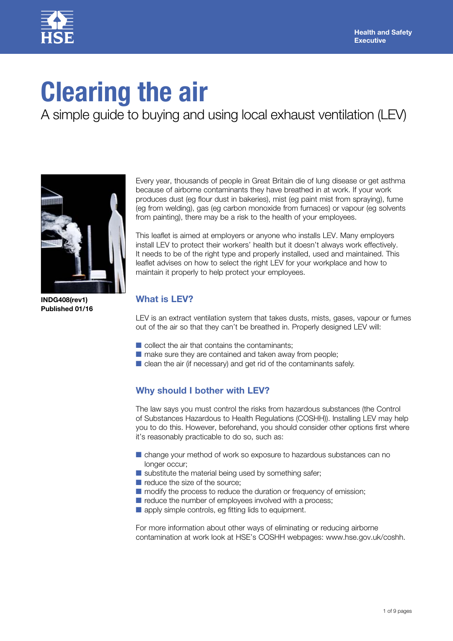

# **Clearing the air**

A simple guide to buying and using local exhaust ventilation (LEV)



**INDG408(rev1) Published 01/16**

Every year, thousands of people in Great Britain die of lung disease or get asthma because of airborne contaminants they have breathed in at work. If your work produces dust (eg flour dust in bakeries), mist (eg paint mist from spraying), fume (eg from welding), gas (eg carbon monoxide from furnaces) or vapour (eg solvents from painting), there may be a risk to the health of your employees.

This leaflet is aimed at employers or anyone who installs LEV. Many employers install LEV to protect their workers' health but it doesn't always work effectively. It needs to be of the right type and properly installed, used and maintained. This leaflet advises on how to select the right LEV for your workplace and how to maintain it properly to help protect your employees.

# **What is LEV?**

LEV is an extract ventilation system that takes dusts, mists, gases, vapour or fumes out of the air so that they can't be breathed in. Properly designed LEV will:

- $\blacksquare$  collect the air that contains the contaminants;
- make sure they are contained and taken away from people;
- clean the air (if necessary) and get rid of the contaminants safely.

# **Why should I bother with LEV?**

The law says you must control the risks from hazardous substances (the Control of Substances Hazardous to Health Regulations (COSHH)). Installing LEV may help you to do this. However, beforehand, you should consider other options first where it's reasonably practicable to do so, such as:

- change your method of work so exposure to hazardous substances can no longer occur;
- $\blacksquare$  substitute the material being used by something safer;
- reduce the size of the source;
- modify the process to reduce the duration or frequency of emission;
- reduce the number of employees involved with a process;
- apply simple controls, eg fitting lids to equipment.

For more information about other ways of eliminating or reducing airborne contamination at work look at HSE's COSHH webpages: [www.hse.gov.uk/coshh.](http://www.hse.gov.uk/coshh.)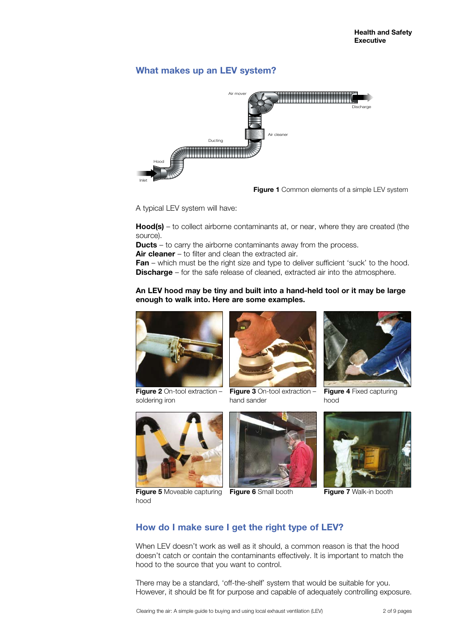# **What makes up an LEV system?**



**Figure 1** Common elements of a simple LEV system

A typical LEV system will have:

**Hood(s)** – to collect airborne contaminants at, or near, where they are created (the source).

**Ducts** – to carry the airborne contaminants away from the process.

**Air cleaner** – to filter and clean the extracted air.

**Fan** – which must be the right size and type to deliver sufficient 'suck' to the hood. **Discharge** – for the safe release of cleaned, extracted air into the atmosphere.

### **An LEV hood may be tiny and built into a hand-held tool or it may be large enough to walk into. Here are some examples.**



**Figure 2** On-tool extraction – soldering iron



**Figure 5** Moveable capturing **Figure 6** Small booth hood







**Figure 4** Fixed capturing hood



**Figure 7** Walk-in booth

# **How do I make sure I get the right type of LEV?**

When LEV doesn't work as well as it should, a common reason is that the hood doesn't catch or contain the contaminants effectively. It is important to match the hood to the source that you want to control.

There may be a standard, 'off-the-shelf' system that would be suitable for you. However, it should be fit for purpose and capable of adequately controlling exposure.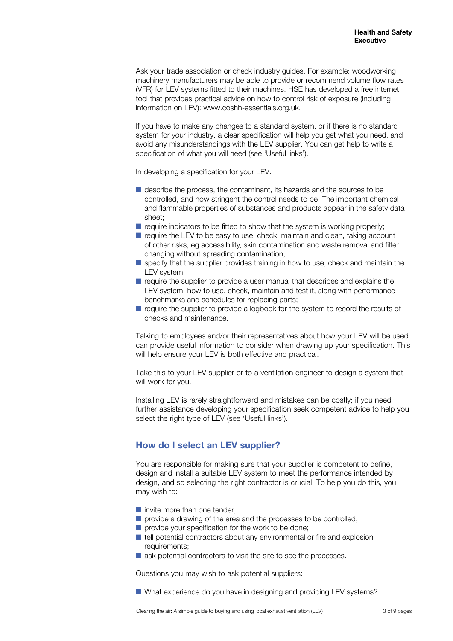Ask your trade association or check industry guides. For example: woodworking machinery manufacturers may be able to provide or recommend volume flow rates (VFR) for LEV systems fitted to their machines. HSE has developed a free internet tool that provides practical advice on how to control risk of exposure (including information on LEV): www.coshh-essentials.org.uk.

If you have to make any changes to a standard system, or if there is no standard system for your industry, a clear specification will help you get what you need, and avoid any misunderstandings with the LEV supplier. You can get help to write a specification of what you will need (see 'Useful links').

In developing a specification for your LEV:

- describe the process, the contaminant, its hazards and the sources to be controlled, and how stringent the control needs to be. The important chemical and flammable properties of substances and products appear in the safety data sheet;
- require indicators to be fitted to show that the system is working properly;
- require the LEV to be easy to use, check, maintain and clean, taking account of other risks, eg accessibility, skin contamination and waste removal and filter changing without spreading contamination;
- specify that the supplier provides training in how to use, check and maintain the LEV system;
- require the supplier to provide a user manual that describes and explains the LEV system, how to use, check, maintain and test it, along with performance benchmarks and schedules for replacing parts;
- require the supplier to provide a logbook for the system to record the results of checks and maintenance.

Talking to employees and/or their representatives about how your LEV will be used can provide useful information to consider when drawing up your specification. This will help ensure your LEV is both effective and practical.

Take this to your LEV supplier or to a ventilation engineer to design a system that will work for you.

Installing LEV is rarely straightforward and mistakes can be costly; if you need further assistance developing your specification seek competent advice to help you select the right type of LEV (see 'Useful links').

# **How do I select an LEV supplier?**

You are responsible for making sure that your supplier is competent to define, design and install a suitable LEV system to meet the performance intended by design, and so selecting the right contractor is crucial. To help you do this, you may wish to:

- invite more than one tender;
- provide a drawing of the area and the processes to be controlled;
- provide your specification for the work to be done;
- tell potential contractors about any environmental or fire and explosion requirements;
- ask potential contractors to visit the site to see the processes.

Questions you may wish to ask potential suppliers:

■ What experience do you have in designing and providing LEV systems?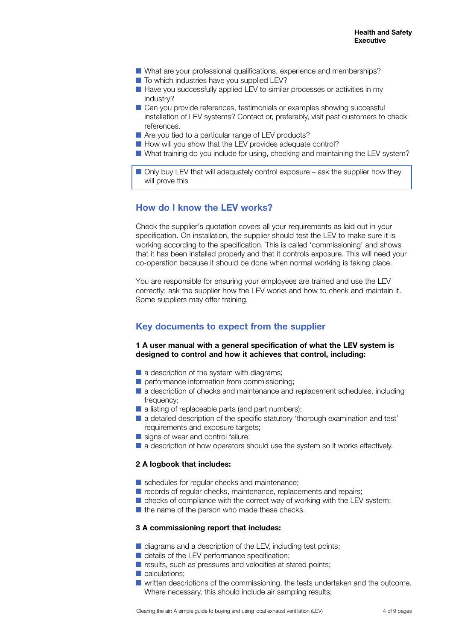- What are your professional qualifications, experience and memberships?
- To which industries have you supplied LEV?
- Have you successfully applied LEV to similar processes or activities in my industry?
- Can you provide references, testimonials or examples showing successful installation of LEV systems? Contact or, preferably, visit past customers to check references.
- Are you tied to a particular range of LEV products?
- How will you show that the LEV provides adequate control?
- What training do you include for using, checking and maintaining the LEV system?

 $\blacksquare$  Only buy LEV that will adequately control exposure – ask the supplier how they will prove this

## **How do I know the LEV works?**

Check the supplier's quotation covers all your requirements as laid out in your specification. On installation, the supplier should test the LEV to make sure it is working according to the specification. This is called 'commissioning' and shows that it has been installed properly and that it controls exposure. This will need your co-operation because it should be done when normal working is taking place.

You are responsible for ensuring your employees are trained and use the LEV correctly; ask the supplier how the LEV works and how to check and maintain it. Some suppliers may offer training.

## **Key documents to expect from the supplier**

#### **1 A user manual with a general specification of what the LEV system is designed to control and how it achieves that control, including:**

- $\blacksquare$  a description of the system with diagrams;
- performance information from commissioning;
- a description of checks and maintenance and replacement schedules, including frequency;
- a listing of replaceable parts (and part numbers);
- a detailed description of the specific statutory 'thorough examination and test' requirements and exposure targets;
- signs of wear and control failure;
- a description of how operators should use the system so it works effectively.

#### **2 A logbook that includes:**

- schedules for regular checks and maintenance;
- records of regular checks, maintenance, replacements and repairs;
- checks of compliance with the correct way of working with the LEV system;
- the name of the person who made these checks.

#### **3 A commissioning report that includes:**

- diagrams and a description of the LEV, including test points;
- details of the LEV performance specification;
- results, such as pressures and velocities at stated points;
- calculations;
- written descriptions of the commissioning, the tests undertaken and the outcome. Where necessary, this should include air sampling results;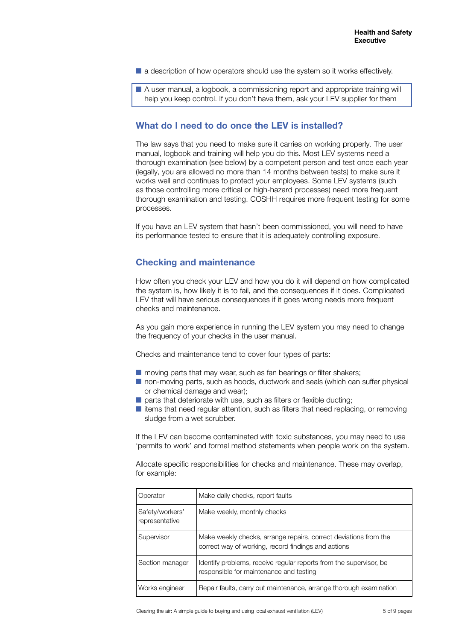■ a description of how operators should use the system so it works effectively.

■ A user manual, a logbook, a commissioning report and appropriate training will help you keep control. If you don't have them, ask your LEV supplier for them

## **What do I need to do once the LEV is installed?**

The law says that you need to make sure it carries on working properly. The user manual, logbook and training will help you do this. Most LEV systems need a thorough examination (see below) by a competent person and test once each year (legally, you are allowed no more than 14 months between tests) to make sure it works well and continues to protect your employees. Some LEV systems (such as those controlling more critical or high-hazard processes) need more frequent thorough examination and testing. COSHH requires more frequent testing for some processes.

If you have an LEV system that hasn't been commissioned, you will need to have its performance tested to ensure that it is adequately controlling exposure.

## **Checking and maintenance**

How often you check your LEV and how you do it will depend on how complicated the system is, how likely it is to fail, and the consequences if it does. Complicated LEV that will have serious consequences if it goes wrong needs more frequent checks and maintenance.

As you gain more experience in running the LEV system you may need to change the frequency of your checks in the user manual.

Checks and maintenance tend to cover four types of parts:

- moving parts that may wear, such as fan bearings or filter shakers;
- non-moving parts, such as hoods, ductwork and seals (which can suffer physical or chemical damage and wear);
- $\blacksquare$  parts that deteriorate with use, such as filters or flexible ducting;
- items that need regular attention, such as filters that need replacing, or removing sludge from a wet scrubber.

If the LEV can become contaminated with toxic substances, you may need to use 'permits to work' and formal method statements when people work on the system.

Allocate specific responsibilities for checks and maintenance. These may overlap, for example:

| Operator                          | Make daily checks, report faults                                                                                        |
|-----------------------------------|-------------------------------------------------------------------------------------------------------------------------|
| Safety/workers'<br>representative | Make weekly, monthly checks                                                                                             |
| Supervisor                        | Make weekly checks, arrange repairs, correct deviations from the<br>correct way of working, record findings and actions |
| Section manager                   | Identify problems, receive regular reports from the supervisor, be<br>responsible for maintenance and testing           |
| Works engineer                    | Repair faults, carry out maintenance, arrange thorough examination                                                      |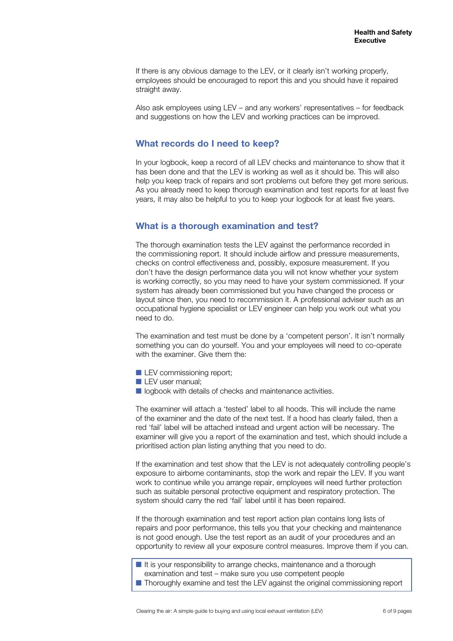If there is any obvious damage to the LEV, or it clearly isn't working properly, employees should be encouraged to report this and you should have it repaired straight away.

Also ask employees using LEV – and any workers' representatives – for feedback and suggestions on how the LEV and working practices can be improved.

## **What records do I need to keep?**

In your logbook, keep a record of all LEV checks and maintenance to show that it has been done and that the LEV is working as well as it should be. This will also help you keep track of repairs and sort problems out before they get more serious. As you already need to keep thorough examination and test reports for at least five years, it may also be helpful to you to keep your logbook for at least five years.

## **What is a thorough examination and test?**

The thorough examination tests the LEV against the performance recorded in the commissioning report. It should include airflow and pressure measurements, checks on control effectiveness and, possibly, exposure measurement. If you don't have the design performance data you will not know whether your system is working correctly, so you may need to have your system commissioned. If your system has already been commissioned but you have changed the process or layout since then, you need to recommission it. A professional adviser such as an occupational hygiene specialist or LEV engineer can help you work out what you need to do.

The examination and test must be done by a 'competent person'. It isn't normally something you can do yourself. You and your employees will need to co-operate with the examiner. Give them the:

- **LEV** commissioning report;
- **LEV** user manual;
- logbook with details of checks and maintenance activities.

The examiner will attach a 'tested' label to all hoods. This will include the name of the examiner and the date of the next test. If a hood has clearly failed, then a red 'fail' label will be attached instead and urgent action will be necessary. The examiner will give you a report of the examination and test, which should include a prioritised action plan listing anything that you need to do.

If the examination and test show that the LEV is not adequately controlling people's exposure to airborne contaminants, stop the work and repair the LEV. If you want work to continue while you arrange repair, employees will need further protection such as suitable personal protective equipment and respiratory protection. The system should carry the red 'fail' label until it has been repaired.

If the thorough examination and test report action plan contains long lists of repairs and poor performance, this tells you that your checking and maintenance is not good enough. Use the test report as an audit of your procedures and an opportunity to review all your exposure control measures. Improve them if you can.

■ It is your responsibility to arrange checks, maintenance and a thorough examination and test – make sure you use competent people

■ Thoroughly examine and test the LEV against the original commissioning report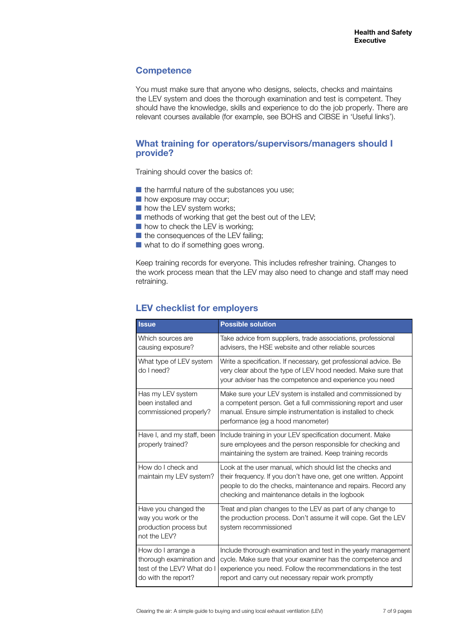## **Competence**

You must make sure that anyone who designs, selects, checks and maintains the LEV system and does the thorough examination and test is competent. They should have the knowledge, skills and experience to do the job properly. There are relevant courses available (for example, see BOHS and CIBSE in 'Useful links').

## **What training for operators/supervisors/managers should I provide?**

Training should cover the basics of:

- $\blacksquare$  the harmful nature of the substances you use;
- how exposure may occur;
- how the LEV system works;
- $\blacksquare$  methods of working that get the best out of the LEV;
- how to check the LEV is working;
- the consequences of the LEV failing;
- what to do if something goes wrong.

Keep training records for everyone. This includes refresher training. Changes to the work process mean that the LEV may also need to change and staff may need retraining.

## **LEV checklist for employers**

| <b>Issue</b>                                                                                        | <b>Possible solution</b>                                                                                                                                                                                                                           |
|-----------------------------------------------------------------------------------------------------|----------------------------------------------------------------------------------------------------------------------------------------------------------------------------------------------------------------------------------------------------|
| Which sources are<br>causing exposure?                                                              | Take advice from suppliers, trade associations, professional<br>advisers, the HSE website and other reliable sources                                                                                                                               |
| What type of LEV system<br>do I need?                                                               | Write a specification. If necessary, get professional advice. Be<br>very clear about the type of LEV hood needed. Make sure that<br>your adviser has the competence and experience you need                                                        |
| Has my LEV system<br>been installed and<br>commissioned properly?                                   | Make sure your LEV system is installed and commissioned by<br>a competent person. Get a full commissioning report and user<br>manual. Ensure simple instrumentation is installed to check<br>performance (eg a hood manometer)                     |
| Have I, and my staff, been<br>properly trained?                                                     | Include training in your LEV specification document. Make<br>sure employees and the person responsible for checking and<br>maintaining the system are trained. Keep training records                                                               |
| How do I check and<br>maintain my LEV system?                                                       | Look at the user manual, which should list the checks and<br>their frequency. If you don't have one, get one written. Appoint<br>people to do the checks, maintenance and repairs. Record any<br>checking and maintenance details in the logbook   |
| Have you changed the<br>way you work or the<br>production process but<br>not the LEV?               | Treat and plan changes to the LEV as part of any change to<br>the production process. Don't assume it will cope. Get the LEV<br>system recommissioned                                                                                              |
| How do I arrange a<br>thorough examination and<br>test of the LEV? What do I<br>do with the report? | Include thorough examination and test in the yearly management<br>cycle. Make sure that your examiner has the competence and<br>experience you need. Follow the recommendations in the test<br>report and carry out necessary repair work promptly |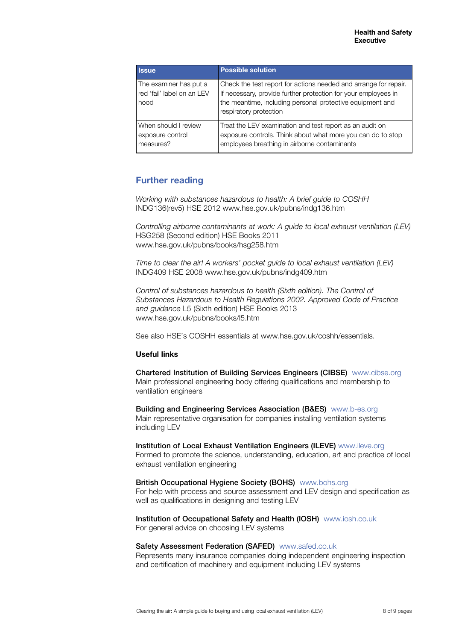| <b>Issue</b>                                                 | <b>Possible solution</b>                                                                                                                                                                                                  |
|--------------------------------------------------------------|---------------------------------------------------------------------------------------------------------------------------------------------------------------------------------------------------------------------------|
| The examiner has put a<br>red 'fail' label on an LEV<br>hood | Check the test report for actions needed and arrange for repair.<br>If necessary, provide further protection for your employees in<br>the meantime, including personal protective equipment and<br>respiratory protection |
| When should I review<br>exposure control<br>measures?        | Treat the LEV examination and test report as an audit on<br>exposure controls. Think about what more you can do to stop<br>employees breathing in airborne contaminants                                                   |

# **Further reading**

*Working with substances hazardous to health: A brief guide to COSHH* INDG136(rev5) HSE 2012 www.hse.gov.uk/pubns/indg136.htm

*Controlling airborne contaminants at work: A guide to local exhaust ventilation (LEV)* HSG258 (Second edition) HSE Books 2011 www.hse.gov.uk/pubns/books/hsg258.htm

*Time to clear the air! A workers' pocket guide to local exhaust ventilation (LEV)* INDG409 HSE 2008 www.hse.gov.uk/pubns/indg409.htm

*Control of substances hazardous to health (Sixth edition). The Control of Substances Hazardous to Health Regulations 2002. Approved Code of Practice and guidance* L5 (Sixth edition) HSE Books 2013 www.hse.gov.uk/pubns/books/l5.htm

See also HSE's COSHH essentials at www.hse.gov.uk/coshh/essentials.

#### **Useful links**

Chartered Institution of Building Services Engineers (CIBSE) [www.cibse.org](http://www.cibse.org) Main professional engineering body offering qualifications and membership to ventilation engineers

Building and Engineering Services Association (B&ES) [www.b-es.org](http://www.b-es.org) Main representative organisation for companies installing ventilation systems including LEV

Institution of Local Exhaust Ventilation Engineers (ILEVE) www.ileve.org Formed to promote the science, understanding, education, art and practice of local exhaust ventilation engineering

British Occupational Hygiene Society (BOHS) [www.bohs.org](http://www.bohs.org) For help with process and source assessment and LEV design and specification as well as qualifications in designing and testing LEV

Institution of Occupational Safety and Health (IOSH) [www.iosh.co.uk](http://www.iosh.co.uk) For general advice on choosing LEV systems

#### Safety Assessment Federation (SAFED) [www.safed.co.uk](http://www.safed.co.uk)

Represents many insurance companies doing independent engineering inspection and certification of machinery and equipment including LEV systems